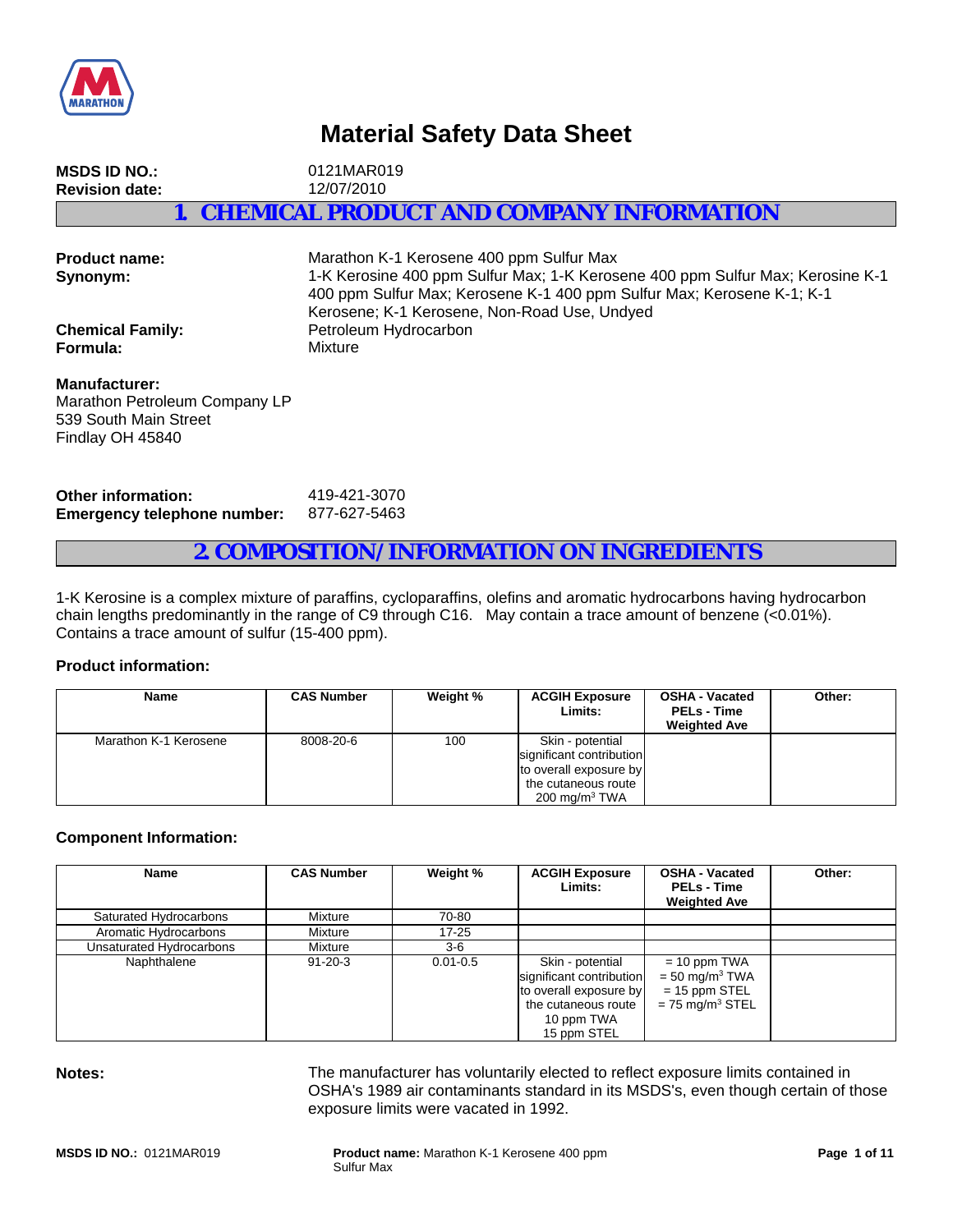

# **Material Safety Data Sheet**

| <b>MSDS ID NO.:</b><br><b>Revision date:</b>                                                       | 0121MAR019<br>12/07/2010                                                                                                                                                                             |
|----------------------------------------------------------------------------------------------------|------------------------------------------------------------------------------------------------------------------------------------------------------------------------------------------------------|
|                                                                                                    | <b>CHEMICAL PRODUCT AND COMPANY INFORMATION</b>                                                                                                                                                      |
| <b>Product name:</b><br>Synonym:                                                                   | Marathon K-1 Kerosene 400 ppm Sulfur Max<br>1-K Kerosine 400 ppm Sulfur Max; 1-K Kerosene 400 ppm Sulfur Max; Kerosine K-1<br>400 ppm Sulfur Max; Kerosene K-1 400 ppm Sulfur Max; Kerosene K-1; K-1 |
| <b>Chemical Family:</b><br>Formula:                                                                | Kerosene; K-1 Kerosene, Non-Road Use, Undyed<br>Petroleum Hydrocarbon<br>Mixture                                                                                                                     |
| <b>Manufacturer:</b><br>Marathon Petroleum Company LP<br>539 South Main Street<br>Findlay OH 45840 |                                                                                                                                                                                                      |
| <b>Other information:</b>                                                                          | 419-421-3070                                                                                                                                                                                         |

# **2. COMPOSITION/INFORMATION ON INGREDIENTS**

1-K Kerosine is a complex mixture of paraffins, cycloparaffins, olefins and aromatic hydrocarbons having hydrocarbon chain lengths predominantly in the range of C9 through C16. May contain a trace amount of benzene (<0.01%). Contains a trace amount of sulfur (15-400 ppm).

### **Product information:**

**Emergency telephone number:** 877-627-5463

| <b>Name</b>           | <b>CAS Number</b> | Weight % | <b>ACGIH Exposure</b><br>Limits:                                                                                          | <b>OSHA - Vacated</b><br><b>PELs - Time</b><br><b>Weighted Ave</b> | Other: |
|-----------------------|-------------------|----------|---------------------------------------------------------------------------------------------------------------------------|--------------------------------------------------------------------|--------|
| Marathon K-1 Kerosene | 8008-20-6         | 100      | Skin - potential<br>significant contribution<br>to overall exposure by<br>the cutaneous route<br>$200 \text{ mg/m}^3$ TWA |                                                                    |        |

### **Component Information:**

| <b>Name</b>              | <b>CAS Number</b> | Weight %     | <b>ACGIH Exposure</b><br>Limits:                                                                                           | <b>OSHA - Vacated</b><br><b>PELs - Time</b><br><b>Weighted Ave</b>                                 | Other: |
|--------------------------|-------------------|--------------|----------------------------------------------------------------------------------------------------------------------------|----------------------------------------------------------------------------------------------------|--------|
| Saturated Hydrocarbons   | Mixture           | 70-80        |                                                                                                                            |                                                                                                    |        |
| Aromatic Hydrocarbons    | Mixture           | 17-25        |                                                                                                                            |                                                                                                    |        |
| Unsaturated Hydrocarbons | Mixture           | $3-6$        |                                                                                                                            |                                                                                                    |        |
| Naphthalene              | $91 - 20 - 3$     | $0.01 - 0.5$ | Skin - potential<br>significant contribution<br>to overall exposure by<br>the cutaneous route<br>10 ppm TWA<br>15 ppm STEL | $= 10$ ppm TWA<br>$=$ 50 mg/m <sup>3</sup> TWA<br>$= 15$ ppm STEL<br>$= 75$ mg/m <sup>3</sup> STEL |        |

**Notes: The manufacturer has voluntarily elected to reflect exposure limits contained in** OSHA's 1989 air contaminants standard in its MSDS's, even though certain of those exposure limits were vacated in 1992.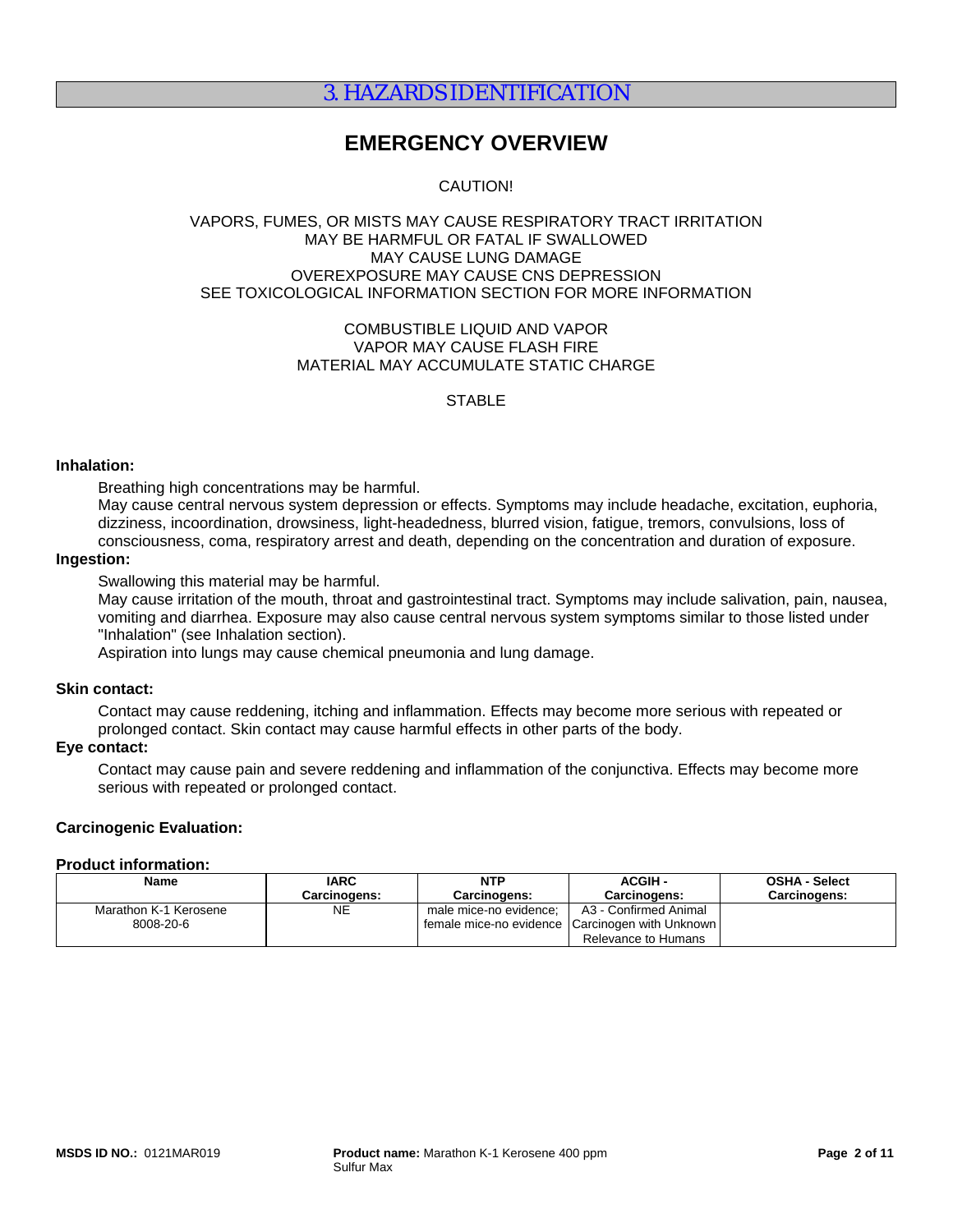## 3. HAZARDS IDENTIFICATION

## **EMERGENCY OVERVIEW**

## CAUTION!

### VAPORS, FUMES, OR MISTS MAY CAUSE RESPIRATORY TRACT IRRITATION MAY BE HARMFUL OR FATAL IF SWALLOWED MAY CAUSE LUNG DAMAGE OVEREXPOSURE MAY CAUSE CNS DEPRESSION SEE TOXICOLOGICAL INFORMATION SECTION FOR MORE INFORMATION

#### COMBUSTIBLE LIQUID AND VAPOR VAPOR MAY CAUSE FLASH FIRE MATERIAL MAY ACCUMULATE STATIC CHARGE

### STARLE

#### **Inhalation:**

Breathing high concentrations may be harmful.

May cause central nervous system depression or effects. Symptoms may include headache, excitation, euphoria, dizziness, incoordination, drowsiness, light-headedness, blurred vision, fatigue, tremors, convulsions, loss of consciousness, coma, respiratory arrest and death, depending on the concentration and duration of exposure.

#### **Ingestion:**

Swallowing this material may be harmful.

May cause irritation of the mouth, throat and gastrointestinal tract. Symptoms may include salivation, pain, nausea, vomiting and diarrhea. Exposure may also cause central nervous system symptoms similar to those listed under "Inhalation" (see Inhalation section).

Aspiration into lungs may cause chemical pneumonia and lung damage.

#### **Skin contact:**

Contact may cause reddening, itching and inflammation. Effects may become more serious with repeated or prolonged contact. Skin contact may cause harmful effects in other parts of the body.

### **Eye contact:**

Contact may cause pain and severe reddening and inflammation of the conjunctiva. Effects may become more serious with repeated or prolonged contact.

#### **Carcinogenic Evaluation:**

#### **Product information:**

| <b>Name</b>           | <b>IARC</b>  | <b>NTP</b>             | <b>ACGIH-</b>                                     | <b>OSHA - Select</b> |
|-----------------------|--------------|------------------------|---------------------------------------------------|----------------------|
|                       | Carcinogens: | Carcinogens:           | <b>Carcinogens:</b>                               | <b>Carcinogens:</b>  |
| Marathon K-1 Kerosene | NΕ           | male mice-no evidence; | A3 - Confirmed Animal                             |                      |
| 8008-20-6             |              |                        | female mice-no evidence   Carcinogen with Unknown |                      |
|                       |              |                        | Relevance to Humans                               |                      |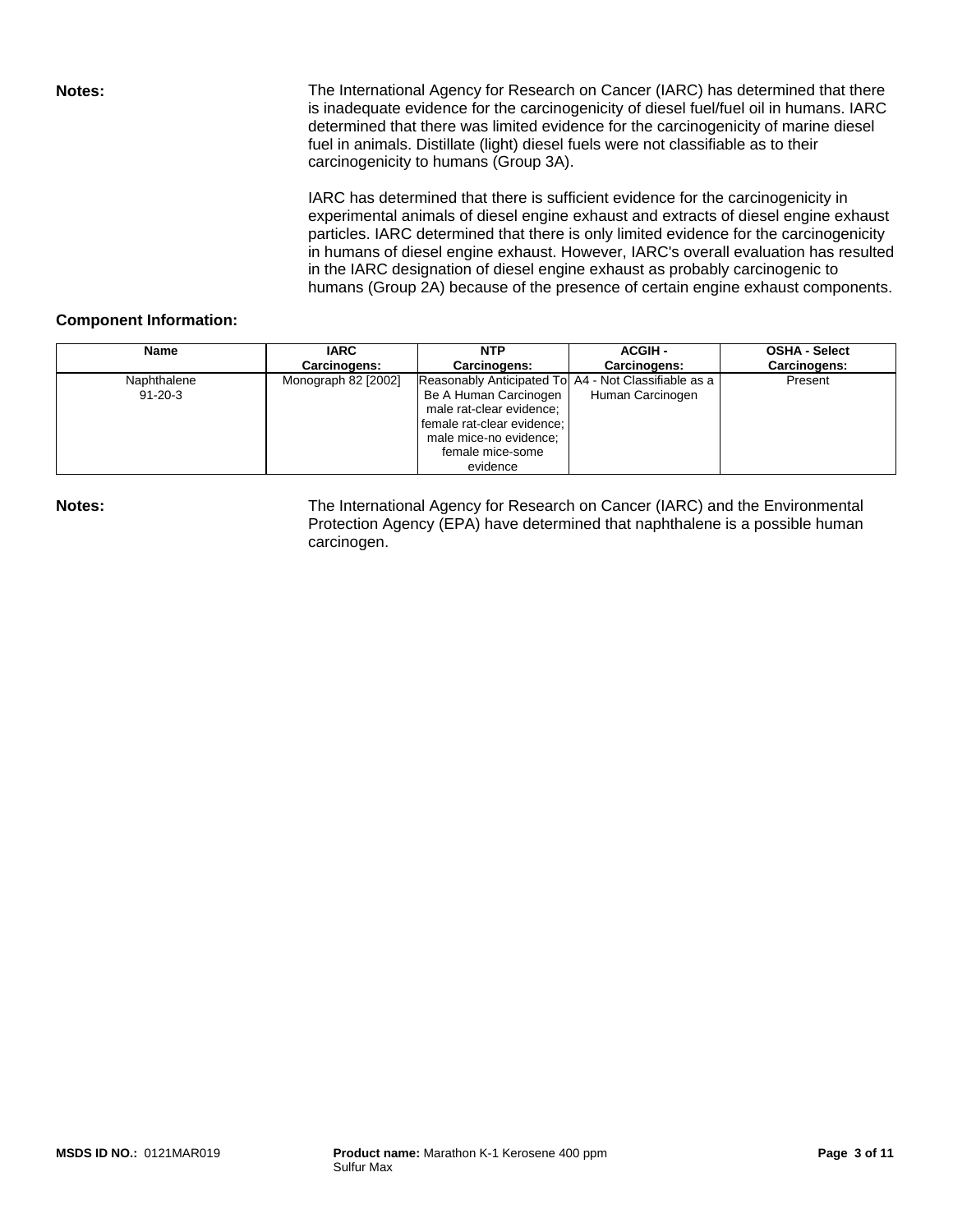**Notes:** The International Agency for Research on Cancer (IARC) has determined that there is inadequate evidence for the carcinogenicity of diesel fuel/fuel oil in humans. IARC determined that there was limited evidence for the carcinogenicity of marine diesel fuel in animals. Distillate (light) diesel fuels were not classifiable as to their carcinogenicity to humans (Group 3A).

> IARC has determined that there is sufficient evidence for the carcinogenicity in experimental animals of diesel engine exhaust and extracts of diesel engine exhaust particles. IARC determined that there is only limited evidence for the carcinogenicity in humans of diesel engine exhaust. However, IARC's overall evaluation has resulted in the IARC designation of diesel engine exhaust as probably carcinogenic to humans (Group 2A) because of the presence of certain engine exhaust components.

## **Component Information:**

| <b>Name</b>   | <b>IARC</b>         | <b>NTP</b>                                           | <b>ACGIH-</b>    | <b>OSHA - Select</b> |
|---------------|---------------------|------------------------------------------------------|------------------|----------------------|
|               | Carcinogens:        | Carcinogens:                                         | Carcinogens:     | Carcinogens:         |
| Naphthalene   | Monograph 82 [2002] | Reasonably Anticipated To A4 - Not Classifiable as a |                  | Present              |
| $91 - 20 - 3$ |                     | Be A Human Carcinogen                                | Human Carcinogen |                      |
|               |                     | male rat-clear evidence;                             |                  |                      |
|               |                     | female rat-clear evidence;                           |                  |                      |
|               |                     | male mice-no evidence;                               |                  |                      |
|               |                     | female mice-some                                     |                  |                      |
|               |                     | evidence                                             |                  |                      |

**Notes:** The International Agency for Research on Cancer (IARC) and the Environmental Protection Agency (EPA) have determined that naphthalene is a possible human carcinogen.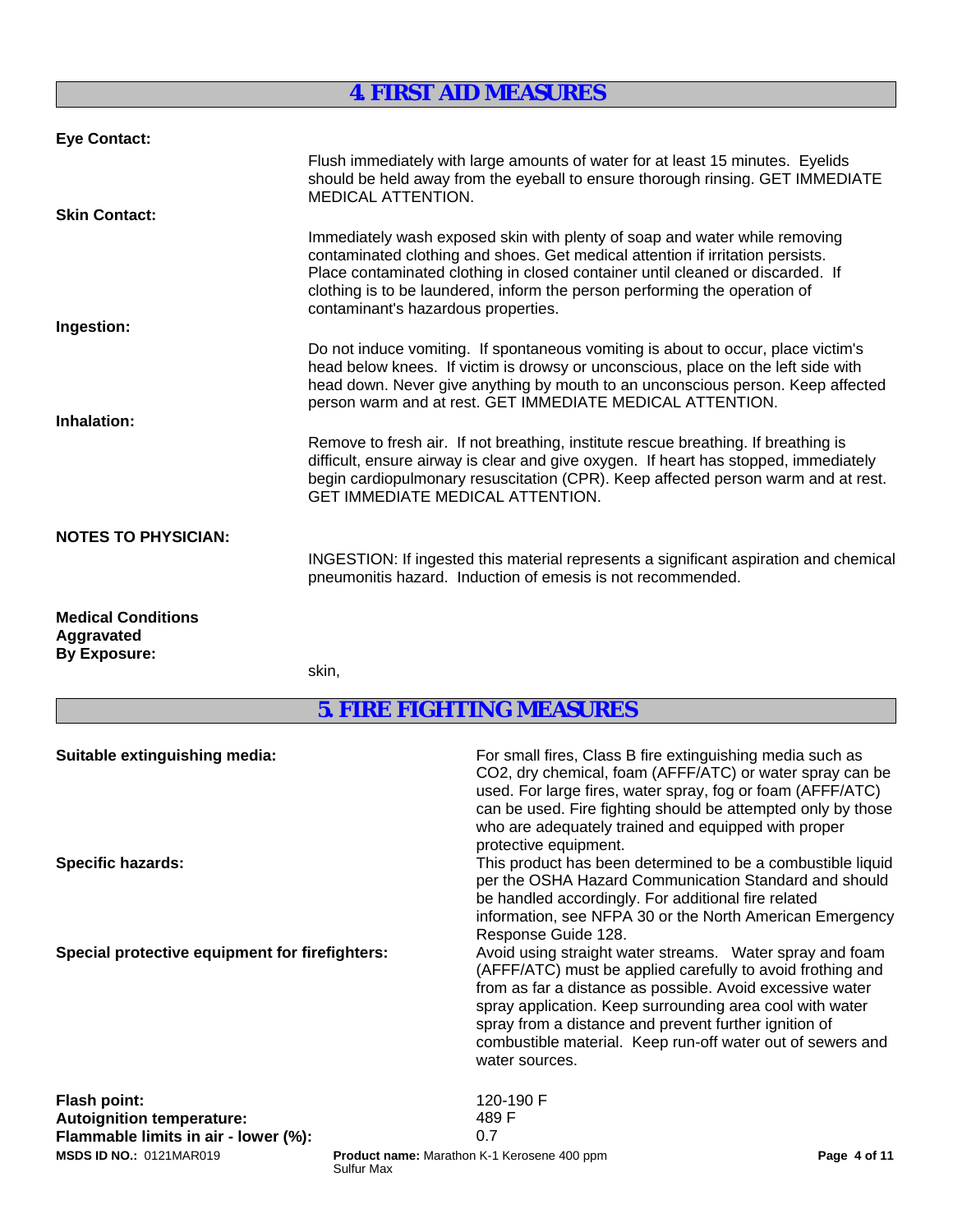# **4. FIRST AID MEASURES**

| <b>Eye Contact:</b>                                            |                                                                                                                                                                                                                                                                                                                                                                     |
|----------------------------------------------------------------|---------------------------------------------------------------------------------------------------------------------------------------------------------------------------------------------------------------------------------------------------------------------------------------------------------------------------------------------------------------------|
|                                                                | Flush immediately with large amounts of water for at least 15 minutes. Eyelids<br>should be held away from the eyeball to ensure thorough rinsing. GET IMMEDIATE<br><b>MEDICAL ATTENTION.</b>                                                                                                                                                                       |
| <b>Skin Contact:</b>                                           |                                                                                                                                                                                                                                                                                                                                                                     |
|                                                                | Immediately wash exposed skin with plenty of soap and water while removing<br>contaminated clothing and shoes. Get medical attention if irritation persists.<br>Place contaminated clothing in closed container until cleaned or discarded. If<br>clothing is to be laundered, inform the person performing the operation of<br>contaminant's hazardous properties. |
| Ingestion:                                                     |                                                                                                                                                                                                                                                                                                                                                                     |
| Inhalation:                                                    | Do not induce vomiting. If spontaneous vomiting is about to occur, place victim's<br>head below knees. If victim is drowsy or unconscious, place on the left side with<br>head down. Never give anything by mouth to an unconscious person. Keep affected<br>person warm and at rest. GET IMMEDIATE MEDICAL ATTENTION.                                              |
|                                                                | Remove to fresh air. If not breathing, institute rescue breathing. If breathing is<br>difficult, ensure airway is clear and give oxygen. If heart has stopped, immediately<br>begin cardiopulmonary resuscitation (CPR). Keep affected person warm and at rest.<br><b>GET IMMEDIATE MEDICAL ATTENTION.</b>                                                          |
| <b>NOTES TO PHYSICIAN:</b>                                     |                                                                                                                                                                                                                                                                                                                                                                     |
|                                                                | INGESTION: If ingested this material represents a significant aspiration and chemical<br>pneumonitis hazard. Induction of emesis is not recommended.                                                                                                                                                                                                                |
| <b>Medical Conditions</b><br>Aggravated<br><b>By Exposure:</b> |                                                                                                                                                                                                                                                                                                                                                                     |

skin,

# **5. FIRE FIGHTING MEASURES**

| Suitable extinguishing media:<br><b>Specific hazards:</b>                                       | For small fires, Class B fire extinguishing media such as<br>CO2, dry chemical, foam (AFFF/ATC) or water spray can be<br>used. For large fires, water spray, fog or foam (AFFF/ATC)<br>can be used. Fire fighting should be attempted only by those<br>who are adequately trained and equipped with proper<br>protective equipment.<br>This product has been determined to be a combustible liquid<br>per the OSHA Hazard Communication Standard and should<br>be handled accordingly. For additional fire related<br>information, see NFPA 30 or the North American Emergency<br>Response Guide 128. |
|-------------------------------------------------------------------------------------------------|-------------------------------------------------------------------------------------------------------------------------------------------------------------------------------------------------------------------------------------------------------------------------------------------------------------------------------------------------------------------------------------------------------------------------------------------------------------------------------------------------------------------------------------------------------------------------------------------------------|
| Special protective equipment for firefighters:                                                  | Avoid using straight water streams. Water spray and foam<br>(AFFF/ATC) must be applied carefully to avoid frothing and<br>from as far a distance as possible. Avoid excessive water<br>spray application. Keep surrounding area cool with water<br>spray from a distance and prevent further ignition of<br>combustible material. Keep run-off water out of sewers and<br>water sources.                                                                                                                                                                                                              |
| <b>Flash point:</b><br><b>Autoignition temperature:</b><br>Flammable limits in air - lower (%): | 120-190 F<br>489 F<br>0.7                                                                                                                                                                                                                                                                                                                                                                                                                                                                                                                                                                             |
| <b>MSDS ID NO.: 0121MAR019</b>                                                                  | <b>Product name:</b> Marathon K-1 Kerosene 400 ppm<br>Page 4 of 11                                                                                                                                                                                                                                                                                                                                                                                                                                                                                                                                    |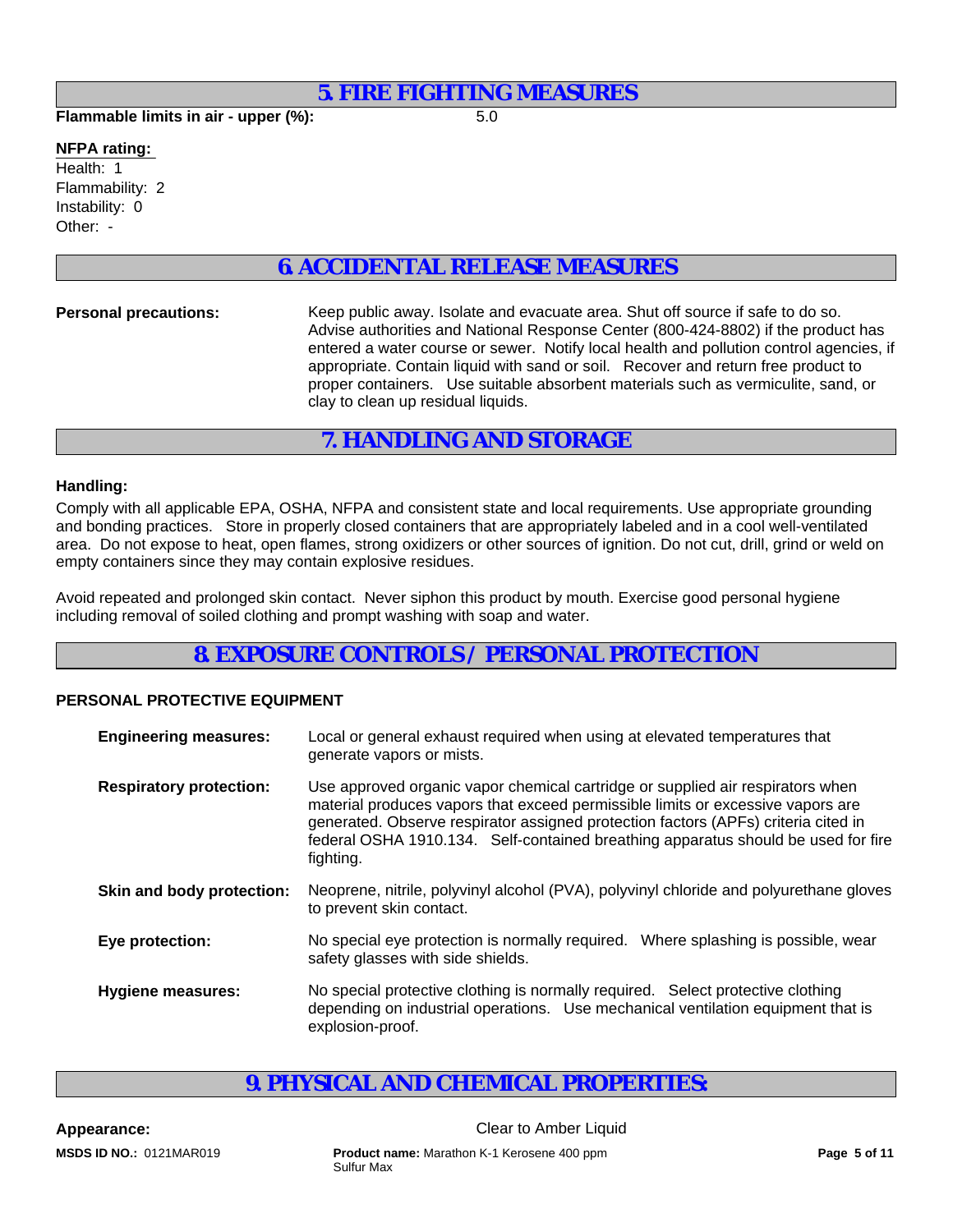## **5. FIRE FIGHTING MEASURES**

**Flammable limits in air - upper (%):** 5.0

## **NFPA rating:**

Instability: 0 Other: - Flammability: 2 Health: 1

## **6. ACCIDENTAL RELEASE MEASURES**

**Personal precautions:** Keep public away. Isolate and evacuate area. Shut off source if safe to do so. Advise authorities and National Response Center (800-424-8802) if the product has entered a water course or sewer. Notify local health and pollution control agencies, if appropriate. Contain liquid with sand or soil. Recover and return free product to proper containers. Use suitable absorbent materials such as vermiculite, sand, or clay to clean up residual liquids.

## **7. HANDLING AND STORAGE**

## **Handling:**

Comply with all applicable EPA, OSHA, NFPA and consistent state and local requirements. Use appropriate grounding and bonding practices. Store in properly closed containers that are appropriately labeled and in a cool well-ventilated area. Do not expose to heat, open flames, strong oxidizers or other sources of ignition. Do not cut, drill, grind or weld on empty containers since they may contain explosive residues.

Avoid repeated and prolonged skin contact. Never siphon this product by mouth. Exercise good personal hygiene including removal of soiled clothing and prompt washing with soap and water.

## **8. EXPOSURE CONTROLS / PERSONAL PROTECTION**

### **PERSONAL PROTECTIVE EQUIPMENT**

| <b>Engineering measures:</b>   | Local or general exhaust required when using at elevated temperatures that<br>generate vapors or mists.                                                                                                                                                                                                                                                   |
|--------------------------------|-----------------------------------------------------------------------------------------------------------------------------------------------------------------------------------------------------------------------------------------------------------------------------------------------------------------------------------------------------------|
| <b>Respiratory protection:</b> | Use approved organic vapor chemical cartridge or supplied air respirators when<br>material produces vapors that exceed permissible limits or excessive vapors are<br>generated. Observe respirator assigned protection factors (APFs) criteria cited in<br>federal OSHA 1910.134. Self-contained breathing apparatus should be used for fire<br>fighting. |
| Skin and body protection:      | Neoprene, nitrile, polyvinyl alcohol (PVA), polyvinyl chloride and polyurethane gloves<br>to prevent skin contact.                                                                                                                                                                                                                                        |
| Eye protection:                | No special eye protection is normally required. Where splashing is possible, wear<br>safety glasses with side shields.                                                                                                                                                                                                                                    |
| <b>Hygiene measures:</b>       | No special protective clothing is normally required. Select protective clothing<br>depending on industrial operations. Use mechanical ventilation equipment that is<br>explosion-proof.                                                                                                                                                                   |

## **9. PHYSICAL AND CHEMICAL PROPERTIES:**

**Appearance:** Clear to Amber Liquid **MSDS ID NO.:** 0121MAR019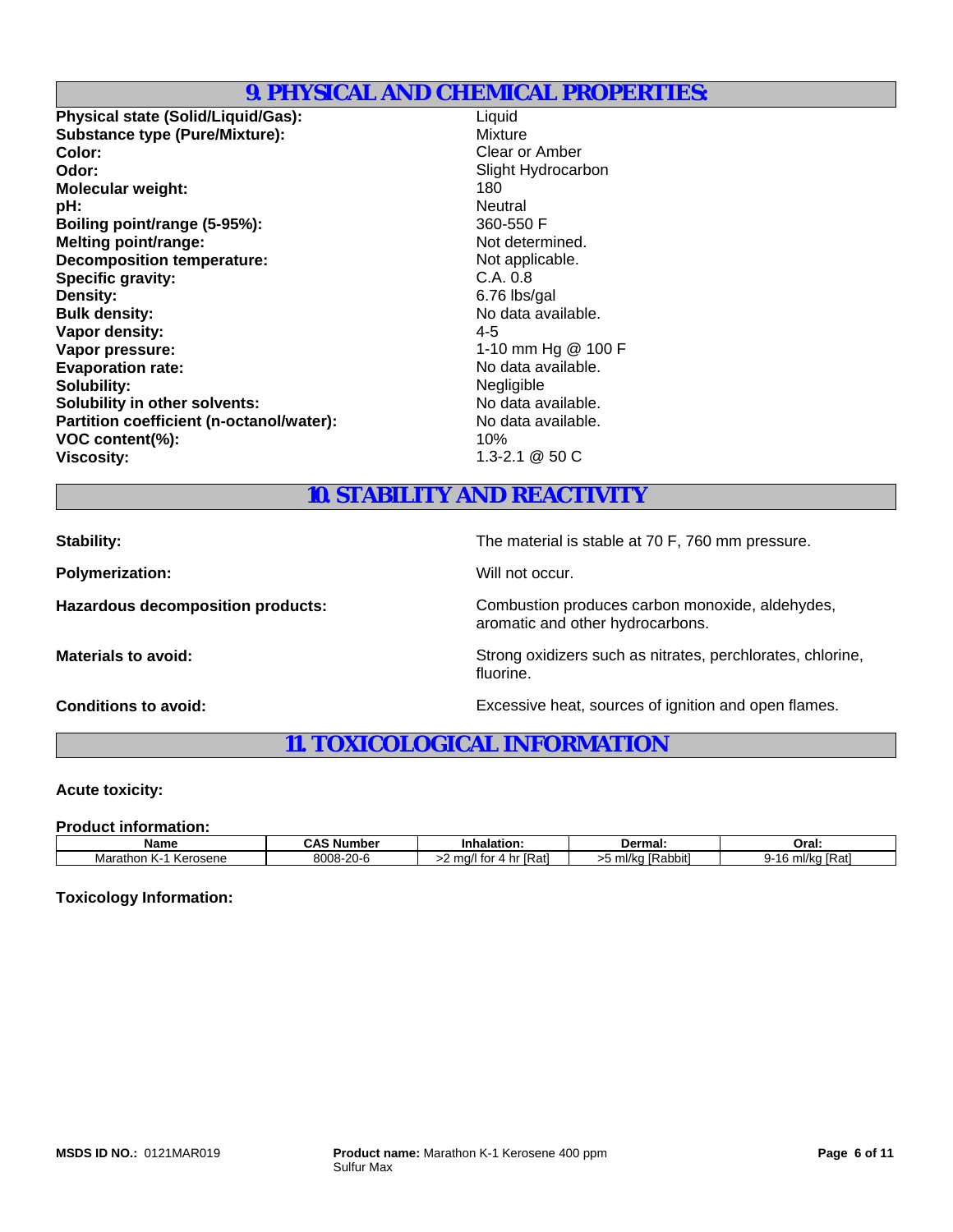## **9. PHYSICAL AND CHEMICAL PROPERTIES:**

**Physical state (Solid/Liquid/Gas):** Liquid **Substance type (Pure/Mixture):** Mixture **Color:** Color: Clear or Amber **Odor:** Slight Hydrocarbon **Molecular weight:** 180 **pH:** Neutral **Boiling point/range (5-95%):** 360-550 F **Melting point/range:** Not determined. **Decomposition temperature:** Not applicable.<br> **Specific gravity:** C.A. 0.8 **Specific gravity: Density:** 6.76 lbs/gal **Bulk density:** No data available. **Vapor density:** 4-5 **Vapor pressure:** 1-10 mm Hg @ 100 F Evaporation rate:<br>
Solubility:<br>
Solubility:<br>
Negligible **Solubility: Solubility in other solvents:** No data available.<br> **Partition coefficient (n-octanol/water):** No data available. **Partition coefficient (n-octanol/water): VOC content(%):** 10% **Viscosity:** 1.3-2.1 @ 50 C

## **10. STABILITY AND REACTIVITY**

**Polymerization:** Will not occur.

**Stability:** The material is stable at 70 F, 760 mm pressure.

**Hazardous decomposition products:** Combustion produces carbon monoxide, aldehydes, aromatic and other hydrocarbons.

**Materials to avoid:** Strong oxidizers such as nitrates, perchlorates, chlorine, fluorine.

**Conditions to avoid:** Excessive heat, sources of ignition and open flames.

## **11. TOXICOLOGICAL INFORMATION**

**Acute toxicity:**

**Product information:**

| Name                              | --<br>. Number<br>∽∧∗ | alation.                              | Dermal∶                  | Oral:                                   |
|-----------------------------------|-----------------------|---------------------------------------|--------------------------|-----------------------------------------|
| . .<br>Marathor<br>Kerosene<br>n. | 8008-20-6             | $-$<br>hr IRati<br>ma<br>tor<br>- 111 | <b>IRabbitl</b><br>mi/ka | $ID0+$<br>. <i>.</i> .<br>ıral<br>7 N.C |

**Toxicology Information:**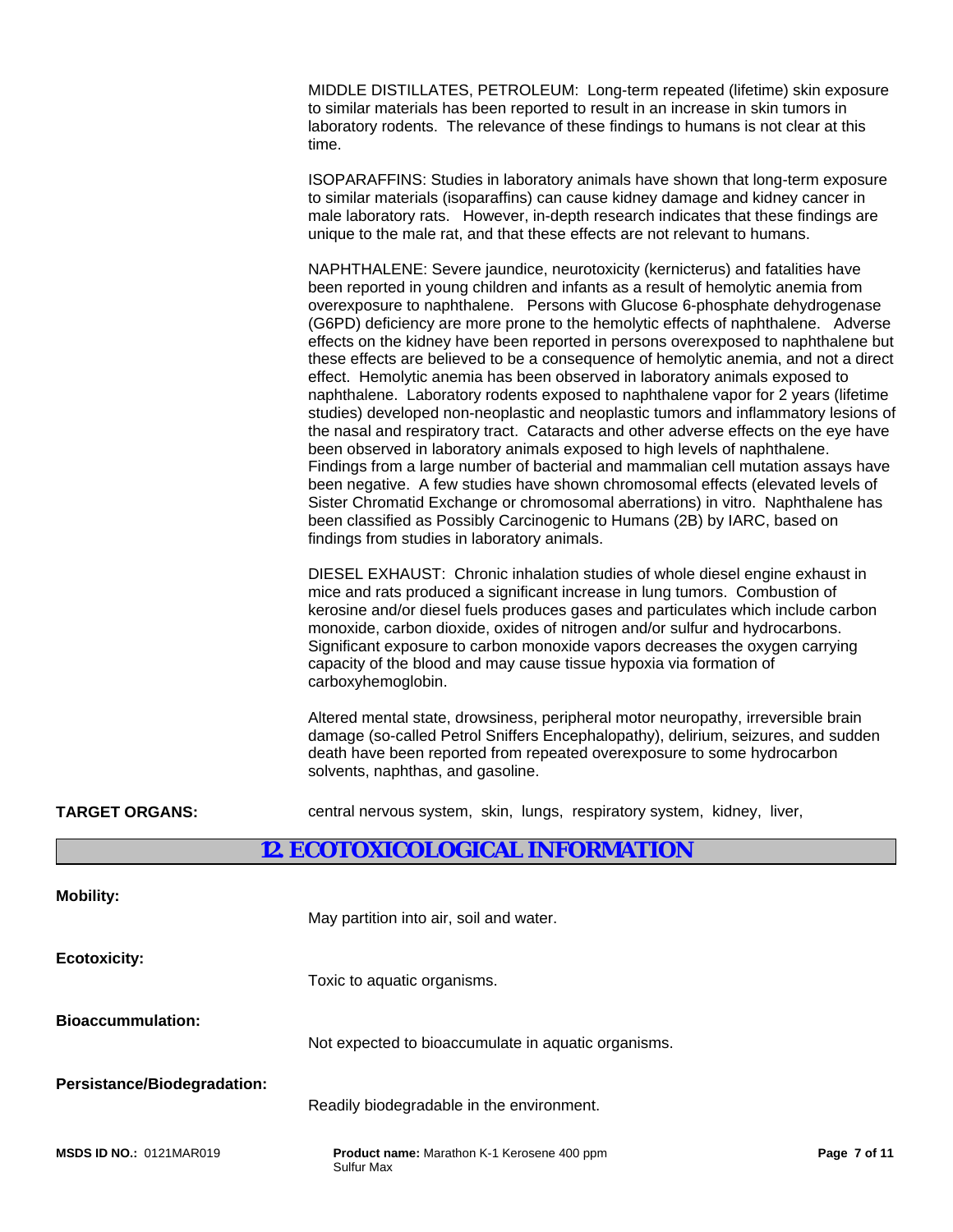MIDDLE DISTILLATES, PETROLEUM: Long-term repeated (lifetime) skin exposure to similar materials has been reported to result in an increase in skin tumors in laboratory rodents. The relevance of these findings to humans is not clear at this time.

ISOPARAFFINS: Studies in laboratory animals have shown that long-term exposure to similar materials (isoparaffins) can cause kidney damage and kidney cancer in male laboratory rats. However, in-depth research indicates that these findings are unique to the male rat, and that these effects are not relevant to humans.

NAPHTHALENE: Severe jaundice, neurotoxicity (kernicterus) and fatalities have been reported in young children and infants as a result of hemolytic anemia from overexposure to naphthalene. Persons with Glucose 6-phosphate dehydrogenase (G6PD) deficiency are more prone to the hemolytic effects of naphthalene. Adverse effects on the kidney have been reported in persons overexposed to naphthalene but these effects are believed to be a consequence of hemolytic anemia, and not a direct effect. Hemolytic anemia has been observed in laboratory animals exposed to naphthalene. Laboratory rodents exposed to naphthalene vapor for 2 years (lifetime studies) developed non-neoplastic and neoplastic tumors and inflammatory lesions of the nasal and respiratory tract. Cataracts and other adverse effects on the eye have been observed in laboratory animals exposed to high levels of naphthalene. Findings from a large number of bacterial and mammalian cell mutation assays have been negative. A few studies have shown chromosomal effects (elevated levels of Sister Chromatid Exchange or chromosomal aberrations) in vitro. Naphthalene has been classified as Possibly Carcinogenic to Humans (2B) by IARC, based on findings from studies in laboratory animals.

DIESEL EXHAUST: Chronic inhalation studies of whole diesel engine exhaust in mice and rats produced a significant increase in lung tumors. Combustion of kerosine and/or diesel fuels produces gases and particulates which include carbon monoxide, carbon dioxide, oxides of nitrogen and/or sulfur and hydrocarbons. Significant exposure to carbon monoxide vapors decreases the oxygen carrying capacity of the blood and may cause tissue hypoxia via formation of carboxyhemoglobin.

Altered mental state, drowsiness, peripheral motor neuropathy, irreversible brain damage (so-called Petrol Sniffers Encephalopathy), delirium, seizures, and sudden death have been reported from repeated overexposure to some hydrocarbon solvents, naphthas, and gasoline.

### **TARGET ORGANS:** central nervous system, skin, lungs, respiratory system, kidney, liver,

## **12. ECOTOXICOLOGICAL INFORMATION**

| <b>Mobility:</b>                   | May partition into air, soil and water.                          |              |
|------------------------------------|------------------------------------------------------------------|--------------|
| <b>Ecotoxicity:</b>                |                                                                  |              |
|                                    | Toxic to aquatic organisms.                                      |              |
| <b>Bioaccummulation:</b>           | Not expected to bioaccumulate in aquatic organisms.              |              |
| <b>Persistance/Biodegradation:</b> | Readily biodegradable in the environment.                        |              |
| <b>MSDS ID NO.: 0121MAR019</b>     | <b>Product name:</b> Marathon K-1 Kerosene 400 ppm<br>Sulfur Max | Page 7 of 11 |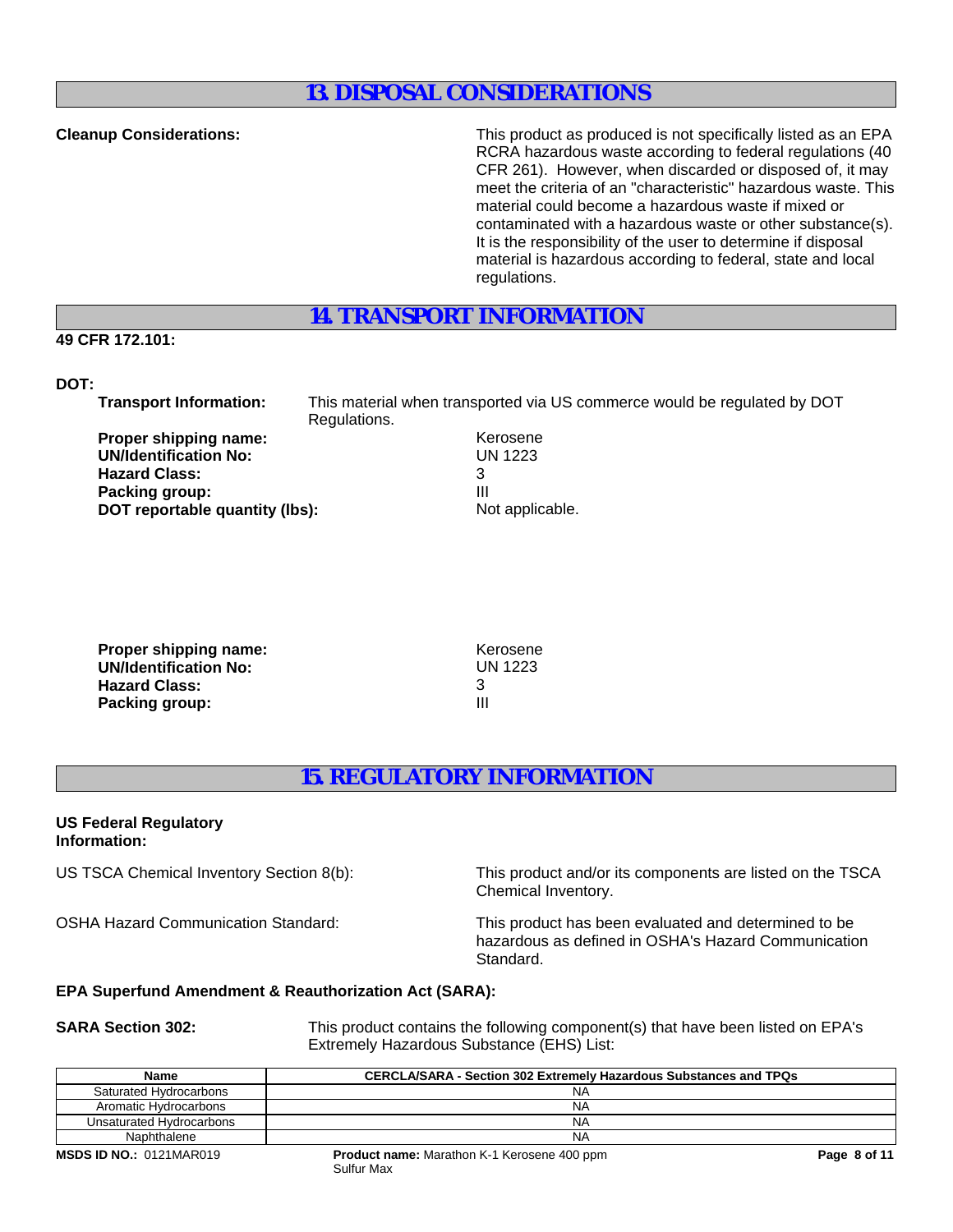## **13. DISPOSAL CONSIDERATIONS**

**Cleanup Considerations:** This product as produced is not specifically listed as an EPA RCRA hazardous waste according to federal regulations (40 CFR 261). However, when discarded or disposed of, it may meet the criteria of an "characteristic" hazardous waste. This material could become a hazardous waste if mixed or contaminated with a hazardous waste or other substance(s). It is the responsibility of the user to determine if disposal material is hazardous according to federal, state and local regulations.

## **14. TRANSPORT INFORMATION**

## **49 CFR 172.101:**

**DOT:** 

 **Transport Information:** This material when transported via US commerce would be regulated by DOT Regulations.

**Proper shipping name:** Kerosene  **UN/Identification No:** UN 1223  **Hazard Class:** 3 **Packing group:** III **DOT reportable quantity (lbs):** Not applicable.

**Proper shipping name:** Kerosene Kerosene<br> **EXAGE SHIPPING**<br> **EXAGE SHIPPING**<br> **EXAGE SHIPPING**<br> **EXAGE SHIPPING UN/Identification No: Hazard Class:** 3 **Packing group:** III

## **15. REGULATORY INFORMATION**

### **US Federal Regulatory Information:**

US TSCA Chemical Inventory Section 8(b): This product and/or its components are listed on the TSCA Chemical Inventory.

OSHA Hazard Communication Standard: This product has been evaluated and determined to be hazardous as defined in OSHA's Hazard Communication Standard.

## **EPA Superfund Amendment & Reauthorization Act (SARA):**

**SARA Section 302:** This product contains the following component(s) that have been listed on EPA's Extremely Hazardous Substance (EHS) List:

| <b>Name</b>                      | <b>CERCLA/SARA - Section 302 Extremely Hazardous Substances and TPQs</b> |
|----------------------------------|--------------------------------------------------------------------------|
| Saturated Hydrocarbons           | NΑ                                                                       |
| Aromatic Hydrocarbons            | <b>NA</b>                                                                |
| Unsaturated Hydrocarbons         | NA                                                                       |
| Naphthalene                      | <b>NA</b>                                                                |
| ---- <i>------</i> ------------- | - - - -<br>.<br>$\sim$ $\sim$ $\sim$                                     |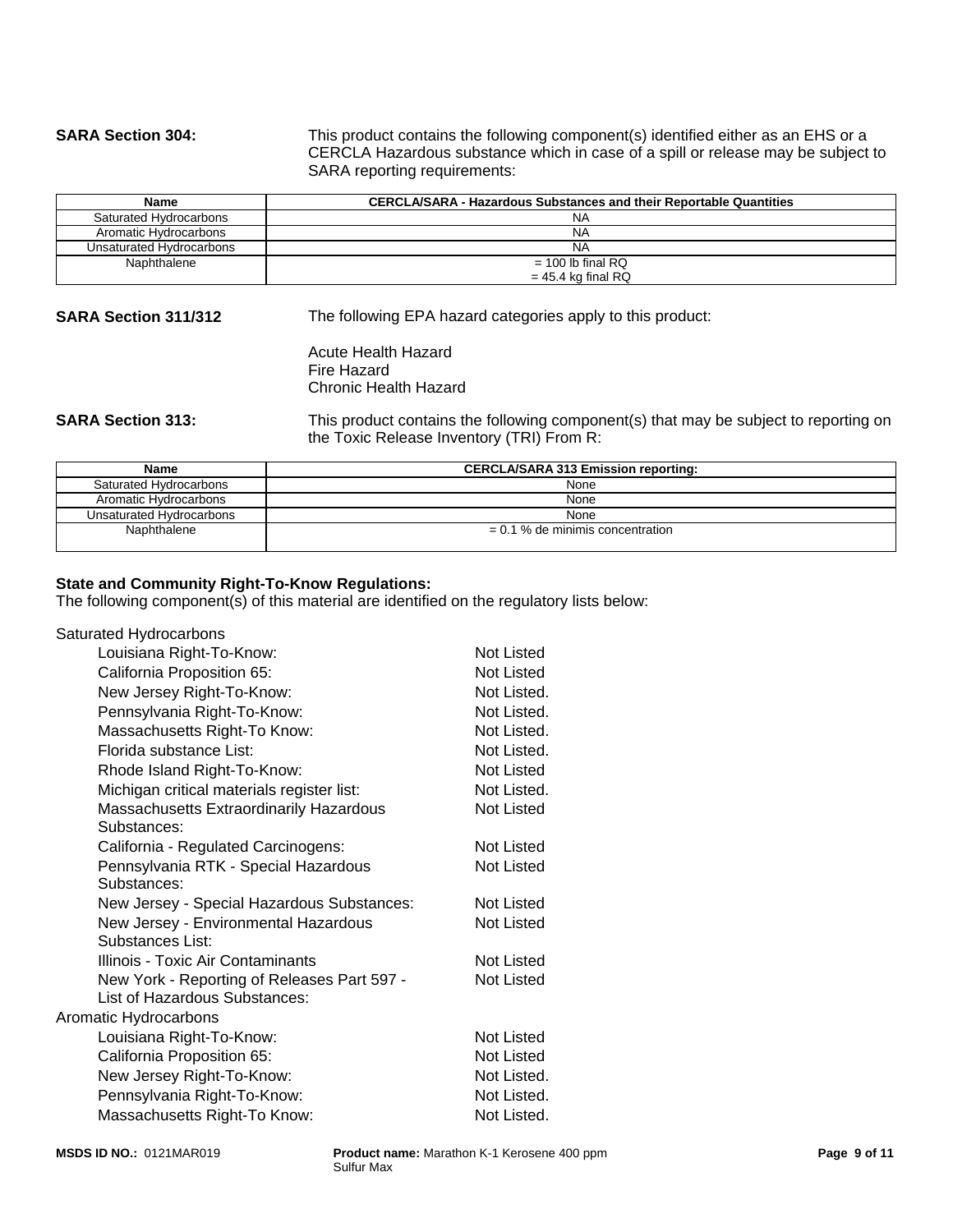**SARA Section 304:** This product contains the following component(s) identified either as an EHS or a CERCLA Hazardous substance which in case of a spill or release may be subject to SARA reporting requirements:

| Name                     | <b>CERCLA/SARA - Hazardous Substances and their Reportable Quantities</b> |
|--------------------------|---------------------------------------------------------------------------|
| Saturated Hydrocarbons   | <b>NA</b>                                                                 |
| Aromatic Hydrocarbons    | <b>NA</b>                                                                 |
| Unsaturated Hydrocarbons | <b>NA</b>                                                                 |
| Naphthalene              | $= 100$ lb final RQ                                                       |
|                          | $= 45.4$ kg final RQ                                                      |

**SARA Section 311/312** The following EPA hazard categories apply to this product:

Acute Health Hazard Fire Hazard Chronic Health Hazard

**SARA Section 313:** This product contains the following component(s) that may be subject to reporting on the Toxic Release Inventory (TRI) From R:

| <b>Name</b>              | <b>CERCLA/SARA 313 Emission reporting:</b> |  |
|--------------------------|--------------------------------------------|--|
| Saturated Hydrocarbons   | None                                       |  |
| Aromatic Hydrocarbons    | None                                       |  |
| Unsaturated Hydrocarbons | None                                       |  |
| Naphthalene              | $= 0.1$ % de minimis concentration         |  |
|                          |                                            |  |

## **State and Community Right-To-Know Regulations:**

The following component(s) of this material are identified on the regulatory lists below:

| Saturated Hydrocarbons                                                       |                   |
|------------------------------------------------------------------------------|-------------------|
| Louisiana Right-To-Know:                                                     | Not Listed        |
| California Proposition 65:                                                   | Not Listed        |
| New Jersey Right-To-Know:                                                    | Not Listed.       |
| Pennsylvania Right-To-Know:                                                  | Not Listed.       |
| Massachusetts Right-To Know:                                                 | Not Listed.       |
| Florida substance List:                                                      | Not Listed.       |
| Rhode Island Right-To-Know:                                                  | Not Listed        |
| Michigan critical materials register list:                                   | Not Listed.       |
| Massachusetts Extraordinarily Hazardous                                      | Not Listed        |
| Substances:                                                                  |                   |
| California - Regulated Carcinogens:                                          | Not Listed        |
| Pennsylvania RTK - Special Hazardous                                         | <b>Not Listed</b> |
| Substances:                                                                  |                   |
| New Jersey - Special Hazardous Substances:                                   | Not Listed        |
| New Jersey - Environmental Hazardous<br>Substances List:                     | <b>Not Listed</b> |
| Illinois - Toxic Air Contaminants                                            | <b>Not Listed</b> |
| New York - Reporting of Releases Part 597 -<br>List of Hazardous Substances: | Not Listed        |
|                                                                              |                   |
| Aromatic Hydrocarbons                                                        | Not Listed        |
| Louisiana Right-To-Know:                                                     |                   |
| California Proposition 65:                                                   | <b>Not Listed</b> |
| New Jersey Right-To-Know:                                                    | Not Listed.       |
| Pennsylvania Right-To-Know:                                                  | Not Listed.       |
| Massachusetts Right-To Know:                                                 | Not Listed.       |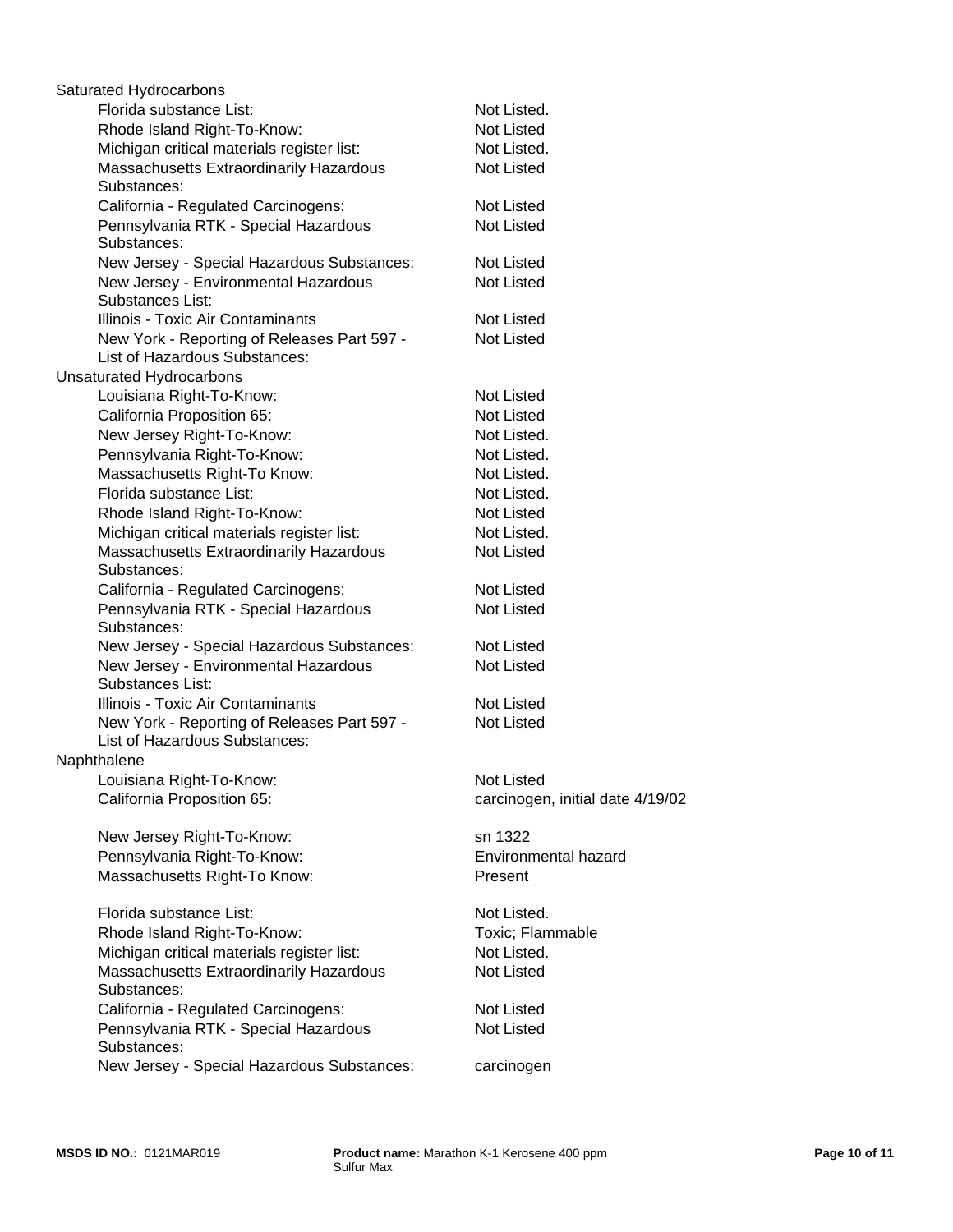| Saturated Hydrocarbons                                                       |                                  |
|------------------------------------------------------------------------------|----------------------------------|
| Florida substance List:                                                      | Not Listed.                      |
| Rhode Island Right-To-Know:                                                  | <b>Not Listed</b>                |
| Michigan critical materials register list:                                   | Not Listed.                      |
| Massachusetts Extraordinarily Hazardous                                      | <b>Not Listed</b>                |
| Substances:                                                                  |                                  |
| California - Regulated Carcinogens:                                          | Not Listed                       |
| Pennsylvania RTK - Special Hazardous<br>Substances:                          | Not Listed                       |
| New Jersey - Special Hazardous Substances:                                   | <b>Not Listed</b>                |
| New Jersey - Environmental Hazardous<br>Substances List:                     | <b>Not Listed</b>                |
| Illinois - Toxic Air Contaminants                                            | <b>Not Listed</b>                |
| New York - Reporting of Releases Part 597 -<br>List of Hazardous Substances: | <b>Not Listed</b>                |
| Unsaturated Hydrocarbons                                                     |                                  |
| Louisiana Right-To-Know:                                                     | Not Listed                       |
| California Proposition 65:                                                   | <b>Not Listed</b>                |
| New Jersey Right-To-Know:                                                    | Not Listed.                      |
| Pennsylvania Right-To-Know:                                                  | Not Listed.                      |
| Massachusetts Right-To Know:                                                 | Not Listed.                      |
| Florida substance List:                                                      | Not Listed.                      |
| Rhode Island Right-To-Know:                                                  | Not Listed                       |
| Michigan critical materials register list:                                   | Not Listed.                      |
| Massachusetts Extraordinarily Hazardous<br>Substances:                       | Not Listed                       |
| California - Regulated Carcinogens:                                          | <b>Not Listed</b>                |
| Pennsylvania RTK - Special Hazardous<br>Substances:                          | Not Listed                       |
| New Jersey - Special Hazardous Substances:                                   | <b>Not Listed</b>                |
| New Jersey - Environmental Hazardous<br>Substances List:                     | Not Listed                       |
| Illinois - Toxic Air Contaminants                                            | <b>Not Listed</b>                |
| New York - Reporting of Releases Part 597 -<br>List of Hazardous Substances: | <b>Not Listed</b>                |
| Naphthalene                                                                  |                                  |
| Louisiana Right-To-Know:                                                     | Not Listed                       |
| California Proposition 65:                                                   | carcinogen, initial date 4/19/02 |
| New Jersey Right-To-Know:                                                    | sn 1322                          |
| Pennsylvania Right-To-Know:                                                  | Environmental hazard             |
| Massachusetts Right-To Know:                                                 | Present                          |
| Florida substance List:                                                      | Not Listed.                      |
| Rhode Island Right-To-Know:                                                  | Toxic; Flammable                 |
| Michigan critical materials register list:                                   | Not Listed.                      |
| Massachusetts Extraordinarily Hazardous<br>Substances:                       | <b>Not Listed</b>                |
| California - Regulated Carcinogens:                                          | <b>Not Listed</b>                |
| Pennsylvania RTK - Special Hazardous<br>Substances:                          | Not Listed                       |
| New Jersey - Special Hazardous Substances:                                   | carcinogen                       |